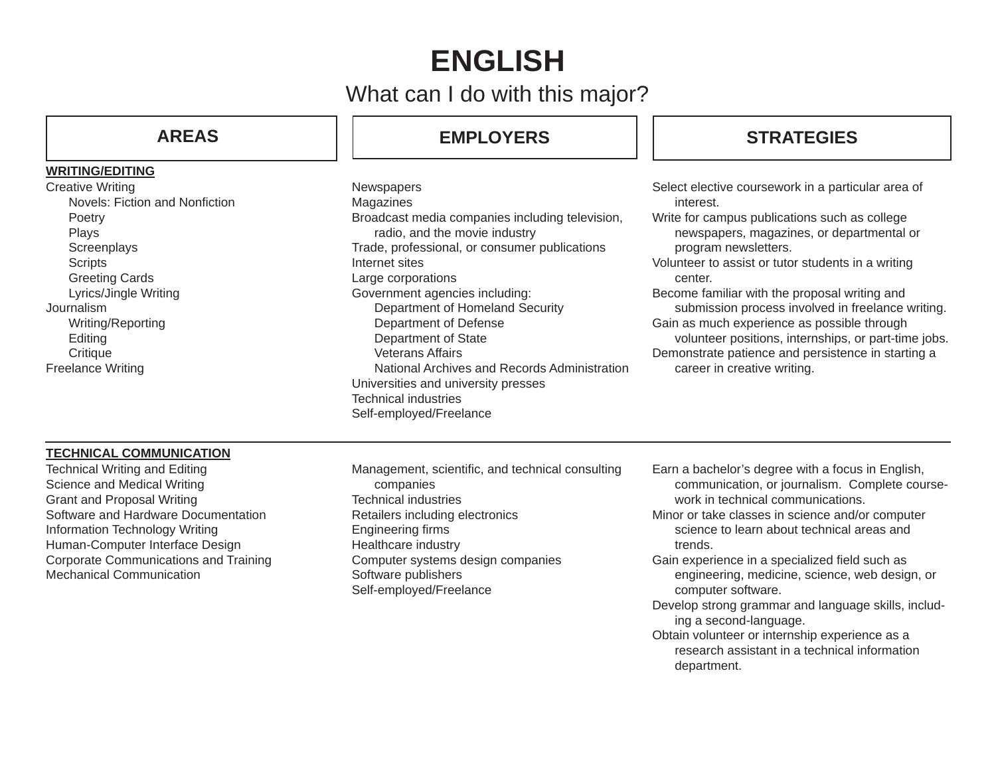# **ENGLISH**

## What can I do with this major?

### **AREAS**

#### **WRITING/EDITING**

Creative Writing Novels: Fiction and Nonfiction Poetry Plays **Screenplays Scripts**  Greeting Cards Lyrics/Jingle Writing Journalism Writing/Reporting **Editing Critique** Freelance Writing

## **EMPLOYERS**

**Newspapers** Magazines Broadcast media companies including television, radio, and the movie industry Trade, professional, or consumer publications Internet sitesLarge corporations Government agencies including: Department of Homeland Security Department of Defense Department of State Veterans Affairs National Archives and Records AdministrationUniversities and university presses Technical industriesSelf-employed/Freelance

## **STRATEGIES**

- Select elective coursework in a particular area of interest.
- Write for campus publications such as college newspapers, magazines, or departmental or program newsletters.
- Volunteer to assist or tutor students in a writing center.
- Become familiar with the proposal writing and submission process involved in freelance writing.
- Gain as much experience as possible through
- volunteer positions, internships, or part-time jobs. Demonstrate patience and persistence in starting a career in creative writing.

#### **TECHNICAL COMMUNICATION**

- Technical Writing and Editing Science and Medical Writing Grant and Proposal Writing Software and Hardware DocumentationInformation Technology Writing Human-Computer Interface Design Corporate Communications and Training Mechanical Communication
- Management, scientific, and technical consulting companies Technical industriesRetailers including electronics Engineering firms Healthcare industry Computer systems design companies Software publishers Self-employed/Freelance
- Earn a bachelor's degree with a focus in English, communication, or journalism. Complete coursework in technical communications.
- Minor or take classes in science and/or computer science to learn about technical areas and trends.
- Gain experience in a specialized field such as engineering, medicine, science, web design, or computer software.
- Develop strong grammar and language skills, including a second-language.
- Obtain volunteer or internship experience as a research assistant in a technical information department.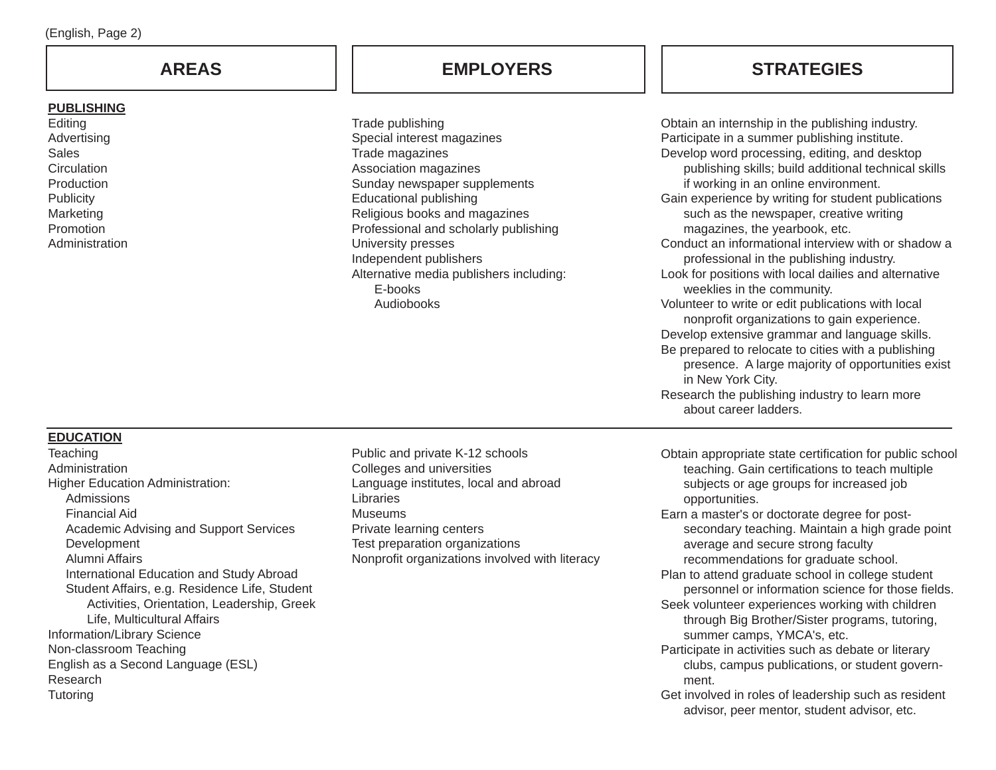### **AREAS**

#### **PUBLISHING**

Editing Advertising Sales**Circulation Production Publicity** Marketing Promotion**Administration** 

## **EMPLOYERS STRATEGIES**

Trade publishing Special interest magazines Trade magazines Association magazines Sunday newspaper supplements Educational publishing Religious books and magazines Professional and scholarly publishing University presses Independent publishers Alternative media publishers including: E-booksAudiobooks

Obtain an internship in the publishing industry. Participate in a summer publishing institute. Develop word processing, editing, and desktop publishing skills; build additional technical skills if working in an online environment. Gain experience by writing for student publications such as the newspaper, creative writing magazines, the yearbook, etc. Conduct an informational interview with or shadow a professional in the publishing industry. Look for positions with local dailies and alternative weeklies in the community. Volunteer to write or edit publications with local nonprofit organizations to gain experience. Develop extensive grammar and language skills. Be prepared to relocate to cities with a publishing presence. A large majority of opportunities exist in New York City. Research the publishing industry to learn more about career ladders.

#### **EDUCATION**

- **Teaching Administration** Higher Education Administration: Admissions Financial Aid Academic Advising and Support Services **Development**  Alumni Affairs International Education and Study Abroad Student Affairs, e.g. Residence Life, Student Activities, Orientation, Leadership, Greek Life, Multicultural Affairs Information/Library Science Non-classroom Teaching English as a Second Language (ESL) Research**Tutoring**
- Public and private K-12 schools Colleges and universities Language institutes, local and abroad **Libraries** MuseumsPrivate learning centers Test preparation organizations Nonprofit organizations involved with literacy
- Obtain appropriate state certification for public school teaching. Gain certifications to teach multiple subjects or age groups for increased job opportunities.
- Earn a master's or doctorate degree for post secondary teaching. Maintain a high grade point average and secure strong faculty recommendations for graduate school.
- Plan to attend graduate school in college student personnel or information science for those fields.
- Seek volunteer experiences working with children through Big Brother/Sister programs, tutoring, summer camps, YMCA's, etc.
- Participate in activities such as debate or literary clubs, campus publications, or student govern ment.
- Get involved in roles of leadership such as resident advisor, peer mentor, student advisor, etc.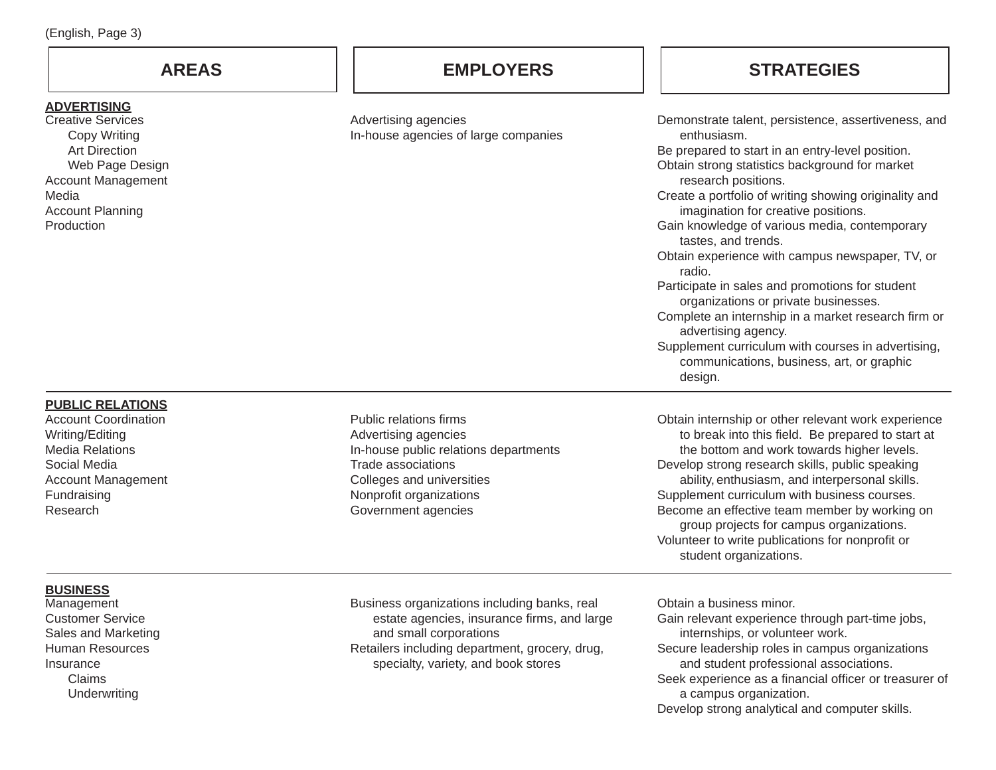| <b>AREAS</b>                                                                                                                                                                                    | <b>EMPLOYERS</b>                                                                                                                                                                                               | <b>STRATEGIES</b>                                                                                                                                                                                                                                                                                                                                                                                                                                                                                                                                                                                                                                                                                                           |
|-------------------------------------------------------------------------------------------------------------------------------------------------------------------------------------------------|----------------------------------------------------------------------------------------------------------------------------------------------------------------------------------------------------------------|-----------------------------------------------------------------------------------------------------------------------------------------------------------------------------------------------------------------------------------------------------------------------------------------------------------------------------------------------------------------------------------------------------------------------------------------------------------------------------------------------------------------------------------------------------------------------------------------------------------------------------------------------------------------------------------------------------------------------------|
| <u>ADVERTISING</u><br><b>Creative Services</b><br><b>Copy Writing</b><br><b>Art Direction</b><br>Web Page Design<br><b>Account Management</b><br>Media<br><b>Account Planning</b><br>Production | Advertising agencies<br>In-house agencies of large companies                                                                                                                                                   | Demonstrate talent, persistence, assertiveness, and<br>enthusiasm.<br>Be prepared to start in an entry-level position.<br>Obtain strong statistics background for market<br>research positions.<br>Create a portfolio of writing showing originality and<br>imagination for creative positions.<br>Gain knowledge of various media, contemporary<br>tastes, and trends.<br>Obtain experience with campus newspaper, TV, or<br>radio.<br>Participate in sales and promotions for student<br>organizations or private businesses.<br>Complete an internship in a market research firm or<br>advertising agency.<br>Supplement curriculum with courses in advertising,<br>communications, business, art, or graphic<br>design. |
| <b>PUBLIC RELATIONS</b><br><b>Account Coordination</b><br>Writing/Editing<br><b>Media Relations</b><br>Social Media<br><b>Account Management</b><br>Fundraising<br>Research                     | Public relations firms<br>Advertising agencies<br>In-house public relations departments<br><b>Trade associations</b><br>Colleges and universities<br>Nonprofit organizations<br>Government agencies            | Obtain internship or other relevant work experience<br>to break into this field. Be prepared to start at<br>the bottom and work towards higher levels.<br>Develop strong research skills, public speaking<br>ability, enthusiasm, and interpersonal skills.<br>Supplement curriculum with business courses.<br>Become an effective team member by working on<br>group projects for campus organizations.<br>Volunteer to write publications for nonprofit or<br>student organizations.                                                                                                                                                                                                                                      |
| <b>BUSINESS</b><br>Management<br><b>Customer Service</b><br>Sales and Marketing<br><b>Human Resources</b><br>Insurance<br>Claims<br>Underwriting                                                | Business organizations including banks, real<br>estate agencies, insurance firms, and large<br>and small corporations<br>Retailers including department, grocery, drug,<br>specialty, variety, and book stores | Obtain a business minor.<br>Gain relevant experience through part-time jobs,<br>internships, or volunteer work.<br>Secure leadership roles in campus organizations<br>and student professional associations.<br>Seek experience as a financial officer or treasurer of<br>a campus organization.<br>Develop strong analytical and computer skills.                                                                                                                                                                                                                                                                                                                                                                          |

(English, Page 3)